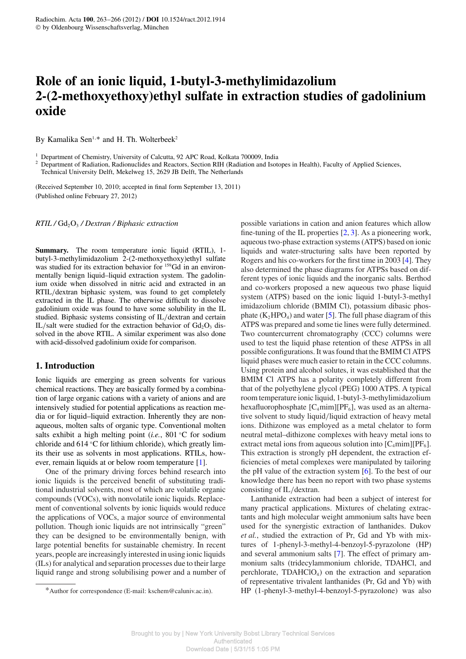# **Role of an ionic liquid, 1-butyl-3-methylimidazolium 2-(2-methoxyethoxy)ethyl sulfate in extraction studies of gadolinium oxide**

By Kamalika Sen<sup>1,∗</sup> and H. Th. Wolterbeek<sup>2</sup>

<sup>1</sup> Department of Chemistry, University of Calcutta, 92 APC Road, Kolkata 700009, India

<sup>2</sup> Department of Radiation, Radionuclides and Reactors, Section RIH (Radiation and Isotopes in Health), Faculty of Applied Sciences, Technical University Delft, Mekelweg 15, 2629 JB Delft, The Netherlands

(Received September 10, 2010; accepted in final form September 13, 2011) (Published online February 27, 2012)

*RTIL /* Gd2O<sup>3</sup> */ Dextran / Biphasic extraction*

**Summary.** The room temperature ionic liquid (RTIL), 1butyl-3-methylimidazolium 2-(2-methoxyethoxy)ethyl sulfate was studied for its extraction behavior for <sup>159</sup>Gd in an environmentally benign liquid–liquid extraction system. The gadolinium oxide when dissolved in nitric acid and extracted in an RTIL/dextran biphasic system, was found to get completely extracted in the IL phase. The otherwise difficult to dissolve gadolinium oxide was found to have some solubility in the IL studied. Biphasic systems consisting of IL/dextran and certain IL/salt were studied for the extraction behavior of  $Gd_2O_3$  dissolved in the above RTIL. A similar experiment was also done with acid-dissolved gadolinium oxide for comparison.

## **1. Introduction**

Ionic liquids are emerging as green solvents for various chemical reactions. They are basically formed by a combination of large organic cations with a variety of anions and are intensively studied for potential applications as reaction media or for liquid–liquid extraction. Inherently they are nonaqueous, molten salts of organic type. Conventional molten salts exhibit a high melting point (*i.e.*, 801 ◦C for sodium chloride and 614 ◦C for lithium chloride), which greatly limits their use as solvents in most applications. RTILs, however, remain liquids at or below room temperature [1].

One of the primary driving forces behind research into ionic liquids is the perceived benefit of substituting traditional industrial solvents, most of which are volatile organic compounds (VOCs), with nonvolatile ionic liquids. Replacement of conventional solvents by ionic liquids would reduce the applications of VOCs, a major source of environmental pollution. Though ionic liquids are not intrinsically "green" they can be designed to be environmentally benign, with large potential benefits for sustainable chemistry. In recent years, people are increasingly interested in using ionic liquids (ILs) for analytical and separation processes due to their large liquid range and strong solubilising power and a number of possible variations in cation and anion features which allow fine-tuning of the IL properties [2, 3]. As a pioneering work, aqueous two-phase extraction systems (ATPS) based on ionic liquids and water-structuring salts have been reported by Rogers and his co-workers for the first time in 2003 [4]. They also determined the phase diagrams for ATPSs based on different types of ionic liquids and the inorganic salts. Berthod and co-workers proposed a new aqueous two phase liquid system (ATPS) based on the ionic liquid 1-butyl-3-methyl imidazolium chloride (BMIM Cl), potassium dibasic phosphate  $(K_2HPO_4)$  and water [5]. The full phase diagram of this ATPS was prepared and some tie lines were fully determined. Two countercurrent chromatography (CCC) columns were used to test the liquid phase retention of these ATPSs in all possible configurations. It was found that the BMIM Cl ATPS liquid phases were much easier to retain in the CCC columns. Using protein and alcohol solutes, it was established that the BMIM Cl ATPS has a polarity completely different from that of the polyethylene glycol (PEG) 1000 ATPS. A typical room temperature ionic liquid, 1-butyl-3-methylimidazolium hexafluorophosphate  $[C_4 \text{min}][PF_6]$ , was used as an alternative solvent to study liquid/liquid extraction of heavy metal ions. Dithizone was employed as a metal chelator to form neutral metal–dithizone complexes with heavy metal ions to extract metal ions from aqueous solution into  $[C_4 \text{min}][PF_6]$ . This extraction is strongly pH dependent, the extraction efficiencies of metal complexes were manipulated by tailoring the pH value of the extraction system [6]. To the best of our knowledge there has been no report with two phase systems consisting of IL/dextran.

Lanthanide extraction had been a subject of interest for many practical applications. Mixtures of chelating extractants and high molecular weight ammonium salts have been used for the synergistic extraction of lanthanides. Dukov *et al.*, studied the extraction of Pr, Gd and Yb with mixtures of 1-phenyl-3-methyl-4-benzoyl-5-pyrazolone (HP) and several ammonium salts [7]. The effect of primary ammonium salts (tridecylammonium chloride, TDAHCl, and perchlorate,  $TDAHClO<sub>4</sub>$  on the extraction and separation of representative trivalent lanthanides (Pr, Gd and Yb) with HP (1-phenyl-3-methyl-4-benzoyl-5-pyrazolone) was also

<sup>\*</sup>Author for correspondence (E-mail: kschem@caluniv.ac.in).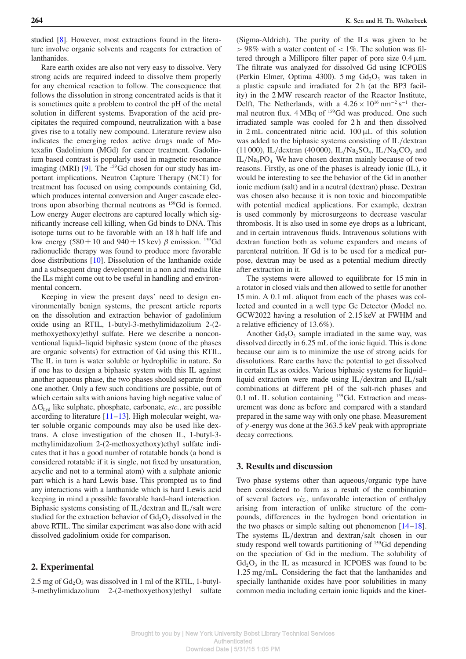studied [8]. However, most extractions found in the literature involve organic solvents and reagents for extraction of lanthanides.

Rare earth oxides are also not very easy to dissolve. Very strong acids are required indeed to dissolve them properly for any chemical reaction to follow. The consequence that follows the dissolution in strong concentrated acids is that it is sometimes quite a problem to control the pH of the metal solution in different systems. Evaporation of the acid precipitates the required compound, neutralization with a base gives rise to a totally new compound. Literature review also indicates the emerging redox active drugs made of Motexafin Gadolinium (MGd) for cancer treatment. Gadolinium based contrast is popularly used in magnetic resonance imaging (MRI) [9]. The  $^{159}$ Gd chosen for our study has important implications. Neutron Capture Therapy (NCT) for treatment has focused on using compounds containing Gd, which produces internal conversion and Auger cascade electrons upon absorbing thermal neutrons as  $^{159}$ Gd is formed. Low energy Auger electrons are captured locally which significantly increase cell killing, when Gd binds to DNA. This isotope turns out to be favorable with an 18 h half life and low energy (580 $\pm$ 10 and 940 $\pm$ 15 kev)  $\beta$  emission. <sup>159</sup>Gd radionuclide therapy was found to produce more favorable dose distributions [10]. Dissolution of the lanthanide oxide and a subsequent drug development in a non acid media like the ILs might come out to be useful in handling and environmental concern.

Keeping in view the present days' need to design environmentally benign systems, the present article reports on the dissolution and extraction behavior of gadolinium oxide using an RTIL, 1-butyl-3-methylimidazolium 2-(2 methoxyethoxy)ethyl sulfate. Here we describe a nonconventional liquid–liquid biphasic system (none of the phases are organic solvents) for extraction of Gd using this RTIL. The IL in turn is water soluble or hydrophilic in nature. So if one has to design a biphasic system with this IL against another aqueous phase, the two phases should separate from one another. Only a few such conditions are possible, out of which certain salts with anions having high negative value of ∆Ghyd like sulphate, phosphate, carbonate, *etc.*, are possible according to literature  $[11–13]$ . High molecular weight, water soluble organic compounds may also be used like dextrans. A close investigation of the chosen IL, 1-butyl-3 methylimidazolium 2-(2-methoxyethoxy)ethyl sulfate indicates that it has a good number of rotatable bonds (a bond is considered rotatable if it is single, not fixed by unsaturation, acyclic and not to a terminal atom) with a sulphate anionic part which is a hard Lewis base. This prompted us to find any interactions with a lanthanide which is hard Lewis acid keeping in mind a possible favorable hard–hard interaction. Biphasic systems consisting of IL/dextran and IL/salt were studied for the extraction behavior of  $Gd_2O_3$  dissolved in the above RTIL. The similar experiment was also done with acid dissolved gadolinium oxide for comparison.

### **2. Experimental**

2.5 mg of  $Gd_2O_3$  was dissolved in 1 ml of the RTIL, 1-butyl-3-methylimidazolium 2-(2-methoxyethoxy)ethyl sulfate (Sigma-Aldrich). The purity of the ILs was given to be  $> 98\%$  with a water content of  $< 1\%$ . The solution was filtered through a Millipore filter paper of pore size  $0.4 \mu m$ . The filtrate was analyzed for dissolved Gd using ICPOES (Perkin Elmer, Optima 4300).  $5 \text{ mg } Gd_2O_3$  was taken in a plastic capsule and irradiated for 2 h (at the BP3 facility) in the 2 MW research reactor of the Reactor Institute, Delft, The Netherlands, with a  $4.26 \times 10^{16}$  nm<sup>-2</sup> s<sup>-1</sup> thermal neutron flux. 4 MBq of <sup>159</sup>Gd was produced. One such irradiated sample was cooled for 2 h and then dissolved in 2 mL concentrated nitric acid. 100 µL of this solution was added to the biphasic systems consisting of IL/dextran  $(11\,000)$ , IL/dextran  $(40\,000)$ , IL/Na<sub>2</sub>SO<sub>4</sub>, IL/Na<sub>2</sub>CO<sub>3</sub> and  $IL/Na_3PO_4$ . We have chosen dextran mainly because of two reasons. Firstly, as one of the phases is already ionic (IL), it would be interesting to see the behavior of the Gd in another ionic medium (salt) and in a neutral (dextran) phase. Dextran was chosen also because it is non toxic and biocompatible with potential medical applications. For example, dextran is used commonly by microsurgeons to decrease vascular thrombosis. It is also used in some eye drops as a lubricant, and in certain intravenous fluids. Intravenous solutions with dextran function both as volume expanders and means of parenteral nutrition. If Gd is to be used for a medical purpose, dextran may be used as a potential medium directly after extraction in it.

The systems were allowed to equilibrate for 15 min in a rotator in closed vials and then allowed to settle for another 15 min. A 0.1 mL aliquot from each of the phases was collected and counted in a well type Ge Detector (Model no. GCW2022 having a resolution of 2.15 keV at FWHM and a relative efficiency of 13.6%).

Another  $Gd_2O_3$  sample irradiated in the same way, was dissolved directly in 6.25 mL of the ionic liquid. This is done because our aim is to minimize the use of strong acids for dissolutions. Rare earths have the potential to get dissolved in certain ILs as oxides. Various biphasic systems for liquid– liquid extraction were made using IL/dextran and IL/salt combinations at different pH of the salt-rich phases and 0.1 mL IL solution containing <sup>159</sup>Gd. Extraction and measurement was done as before and compared with a standard prepared in the same way with only one phase. Measurement of  $\gamma$ -energy was done at the 363.5 keV peak with appropriate decay corrections.

### **3. Results and discussion**

Two phase systems other than aqueous/organic type have been considered to form as a result of the combination of several factors *viz.*, unfavorable interaction of enthalpy arising from interaction of unlike structure of the compounds, differences in the hydrogen bond orientation in the two phases or simple salting out phenomenon  $[14-18]$ . The systems IL/dextran and dextran/salt chosen in our study respond well towards partitioning of <sup>159</sup>Gd depending on the speciation of Gd in the medium. The solubility of  $Gd_2O_3$  in the IL as measured in ICPOES was found to be 1.25 mg/mL. Considering the fact that the lanthanides and specially lanthanide oxides have poor solubilities in many common media including certain ionic liquids and the kinet-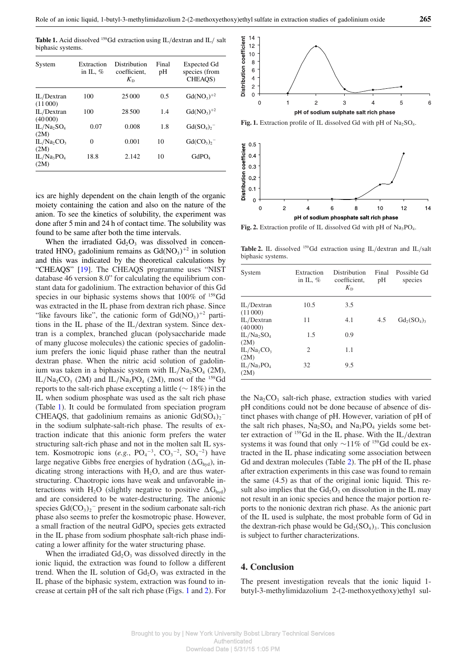Table 1. Acid dissolved <sup>159</sup>Gd extraction using IL/dextran and IL/ salt biphasic systems.

| System                                     | Extraction<br>in IL, $%$ | Distribution<br>coefficient.<br>$K_{\rm D}$ | Final<br>pH | Expected Gd<br>species (from<br>CHEAOS) |
|--------------------------------------------|--------------------------|---------------------------------------------|-------------|-----------------------------------------|
| IL/Dextran<br>(11000)                      | 100                      | 25 000                                      | 0.5         | $Gd(NO_3)^{+2}$                         |
| IL/Dextran<br>(40000)                      | 100                      | 28.500                                      | 1.4         | $Gd(NO3)+2$                             |
| IL/Na, SO <sub>4</sub><br>(2M)             | 0.07                     | 0.008                                       | 1.8         | Gd(SO <sub>4</sub> ) <sub>2</sub>       |
| $IL/Na$ <sub>2</sub> $CO3$<br>(2M)         | $\theta$                 | 0.001                                       | 10          | $Gd(CO_3)$ ,-                           |
| IL/Na <sub>3</sub> PO <sub>4</sub><br>(2M) | 18.8                     | 2.142                                       | 10          | GdPO <sub>4</sub>                       |

ics are highly dependent on the chain length of the organic moiety containing the cation and also on the nature of the anion. To see the kinetics of solubility, the experiment was done after 5 min and 24 h of contact time. The solubility was found to be same after both the time intervals.

When the irradiated  $Gd_2O_3$  was dissolved in concentrated  $HNO<sub>3</sub>$  gadolinium remains as  $Gd(NO<sub>3</sub>)<sup>+2</sup>$  in solution and this was indicated by the theoretical calculations by "CHEAQS" [19]. The CHEAQS programme uses "NIST database 46 version 8.0" for calculating the equilibrium constant data for gadolinium. The extraction behavior of this Gd species in our biphasic systems shows that  $100\%$  of  $159$ Gd was extracted in the IL phase from dextran rich phase. Since "like favours like", the cationic form of  $Gd(NO<sub>3</sub>)$ <sup>+2</sup> partitions in the IL phase of the IL/dextran system. Since dextran is a complex, branched glucan (polysaccharide made of many glucose molecules) the cationic species of gadolinium prefers the ionic liquid phase rather than the neutral dextran phase. When the nitric acid solution of gadolinium was taken in a biphasic system with  $IL/Na_2SO_4$  (2M),  $IL/Na_2CO_3$  (2M) and  $IL/Na_3PO_4$  (2M), most of the <sup>159</sup>Gd reports to the salt-rich phase excepting a little (∼ 18%) in the IL when sodium phosphate was used as the salt rich phase (Table 1). It could be formulated from speciation program CHEAQS, that gadolinium remains as anionic  $Gd(SO<sub>4</sub>)<sub>2</sub>$ in the sodium sulphate-salt-rich phase. The results of extraction indicate that this anionic form prefers the water structuring salt-rich phase and not in the molten salt IL system. Kosmotropic ions  $(e.g., PO_4^{-3}, CO_3^{-2}, SO_4^{-2})$  have large negative Gibbs free energies of hydration ( $\Delta G_{\text{hvd}}$ ), indicating strong interactions with  $H_2O$ , and are thus waterstructuring. Chaotropic ions have weak and unfavorable interactions with H<sub>2</sub>O (slightly negative to positive  $\Delta G_{\text{hvd}}$ ) and are considered to be water-destructuring. The anionic species  $Gd(CO_3)_2$ <sup>-</sup> present in the sodium carbonate salt-rich phase also seems to prefer the kosmotropic phase. However, a small fraction of the neutral GdPO<sub>4</sub> species gets extracted in the IL phase from sodium phosphate salt-rich phase indicating a lower affinity for the water structuring phase.

When the irradiated  $Gd_2O_3$  was dissolved directly in the ionic liquid, the extraction was found to follow a different trend. When the IL solution of  $Gd_2O_3$  was extracted in the IL phase of the biphasic system, extraction was found to increase at certain pH of the salt rich phase (Figs. 1 and 2). For





Fig. 2. Extraction profile of IL dissolved Gd with pH of Na<sub>3</sub>PO<sub>4</sub>.

Table 2. IL dissolved <sup>159</sup>Gd extraction using IL/dextran and IL/salt biphasic systems.

| System                                     | Extraction<br>in IL, $%$ | <b>Distribution</b><br>coefficient,<br>$K_{\rm D}$ | Final<br>pH | Possible Gd<br>species |
|--------------------------------------------|--------------------------|----------------------------------------------------|-------------|------------------------|
| IL/Dextran<br>(11000)                      | 10.5                     | 3.5                                                |             |                        |
| IL/Dextran<br>(40000)                      | 11                       | 4.1                                                | 4.5         | $Gd_2(SO_4)_3$         |
| IL/Na <sub>2</sub> SO <sub>4</sub><br>(2M) | 1.5                      | 0.9                                                |             |                        |
| IL/Na <sub>2</sub> CO <sub>3</sub><br>(2M) | 2                        | 1.1                                                |             |                        |
| $IL/Na_3PO_4$<br>(2M)                      | 32                       | 9.5                                                |             |                        |

the  $Na<sub>2</sub>CO<sub>3</sub>$  salt-rich phase, extraction studies with varied pH conditions could not be done because of absence of distinct phases with change of pH. However, variation of pH of the salt rich phases,  $Na<sub>2</sub>SO<sub>4</sub>$  and  $Na<sub>3</sub>PO<sub>4</sub>$  yields some better extraction of <sup>159</sup>Gd in the IL phase. With the IL/dextran systems it was found that only  $\sim$ 11% of <sup>159</sup>Gd could be extracted in the IL phase indicating some association between Gd and dextran molecules (Table 2). The pH of the IL phase after extraction experiments in this case was found to remain the same (4.5) as that of the original ionic liquid. This result also implies that the  $Gd_2O_3$  on dissolution in the IL may not result in an ionic species and hence the major portion reports to the nonionic dextran rich phase. As the anionic part of the IL used is sulphate, the most probable form of Gd in the dextran-rich phase would be  $Gd_2(SO_4)_3$ . This conclusion is subject to further characterizations.

#### **4. Conclusion**

The present investigation reveals that the ionic liquid 1 butyl-3-methylimidazolium 2-(2-methoxyethoxy)ethyl sul